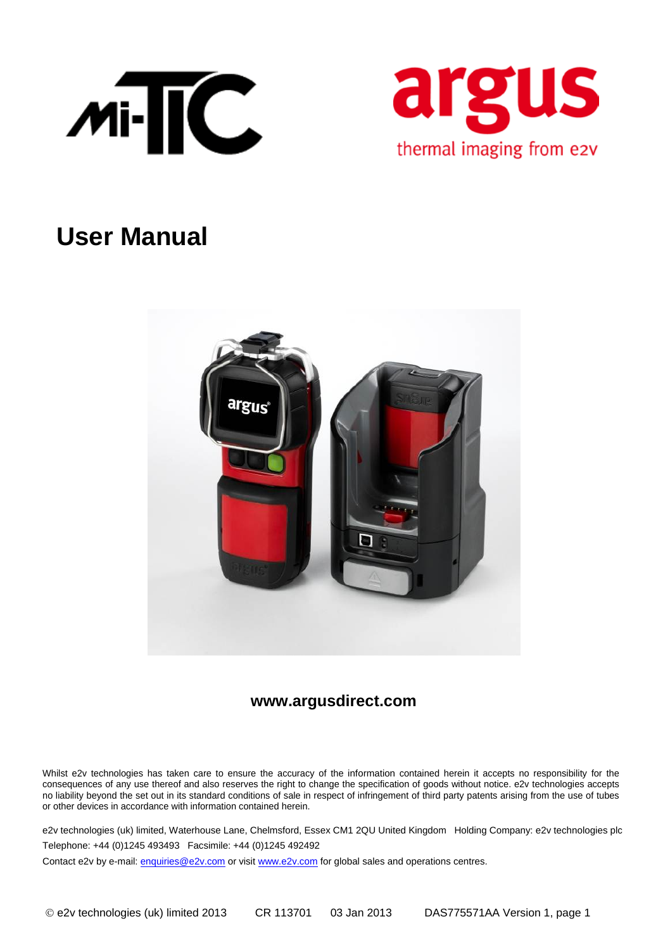



# **User Manual**



### **www.argusdirect.com**

Whilst e2v technologies has taken care to ensure the accuracy of the information contained herein it accepts no responsibility for the consequences of any use thereof and also reserves the right to change the specification of goods without notice. e2v technologies accepts no liability beyond the set out in its standard conditions of sale in respect of infringement of third party patents arising from the use of tubes or other devices in accordance with information contained herein.

e2v technologies (uk) limited, Waterhouse Lane, Chelmsford, Essex CM1 2QU United Kingdom Holding Company: e2v technologies plc Telephone: +44 (0)1245 493493 Facsimile: +44 (0)1245 492492

Contact e2v by e-mail[: enquiries@e2v.com](mailto:enquiries@e2v.com) or visi[t www.e2v.com](http://www.e2v.com/) for global sales and operations centres.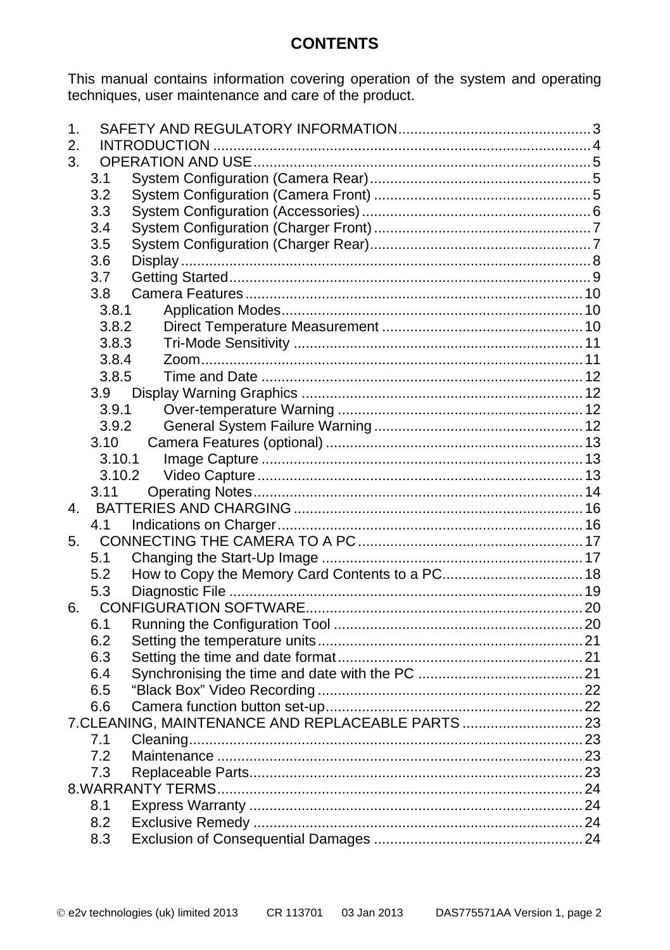## **CONTENTS**

This manual contains information covering operation of the system and operating techniques, user maintenance and care of the product.

| 1. |        |                                                  |  |  |  |
|----|--------|--------------------------------------------------|--|--|--|
| 2. |        |                                                  |  |  |  |
| 3. |        |                                                  |  |  |  |
|    | 3.1    |                                                  |  |  |  |
|    | 3.2    |                                                  |  |  |  |
|    | 3.3    |                                                  |  |  |  |
|    | 3.4    |                                                  |  |  |  |
|    | 3.5    |                                                  |  |  |  |
|    | 3.6    |                                                  |  |  |  |
|    | 3.7    |                                                  |  |  |  |
|    | 3.8    |                                                  |  |  |  |
|    | 3.8.1  |                                                  |  |  |  |
|    | 3.8.2  |                                                  |  |  |  |
|    | 3.8.3  |                                                  |  |  |  |
|    | 3.8.4  |                                                  |  |  |  |
|    | 3.8.5  |                                                  |  |  |  |
|    | 3.9    |                                                  |  |  |  |
|    | 3.9.1  |                                                  |  |  |  |
|    | 3.9.2  |                                                  |  |  |  |
|    | 3.10   |                                                  |  |  |  |
|    | 3.10.1 |                                                  |  |  |  |
|    | 3.10.2 |                                                  |  |  |  |
|    | 3.11   |                                                  |  |  |  |
| 4. |        |                                                  |  |  |  |
|    | 4.1    |                                                  |  |  |  |
| 5. |        |                                                  |  |  |  |
|    | 5.1    |                                                  |  |  |  |
|    | 5.2    |                                                  |  |  |  |
|    | 5.3    |                                                  |  |  |  |
| 6. |        |                                                  |  |  |  |
|    | 6.1    |                                                  |  |  |  |
|    | 6.2    |                                                  |  |  |  |
|    | 6.3    |                                                  |  |  |  |
|    | 6.4    |                                                  |  |  |  |
|    | 6.5    |                                                  |  |  |  |
|    | 6.6    |                                                  |  |  |  |
|    |        | 7.CLEANING, MAINTENANCE AND REPLACEABLE PARTS 23 |  |  |  |
|    | 7.1    |                                                  |  |  |  |
|    | 7.2    |                                                  |  |  |  |
|    | 7.3    |                                                  |  |  |  |
|    |        |                                                  |  |  |  |
|    | 8.1    |                                                  |  |  |  |
|    | 8.2    |                                                  |  |  |  |
|    | 8.3    |                                                  |  |  |  |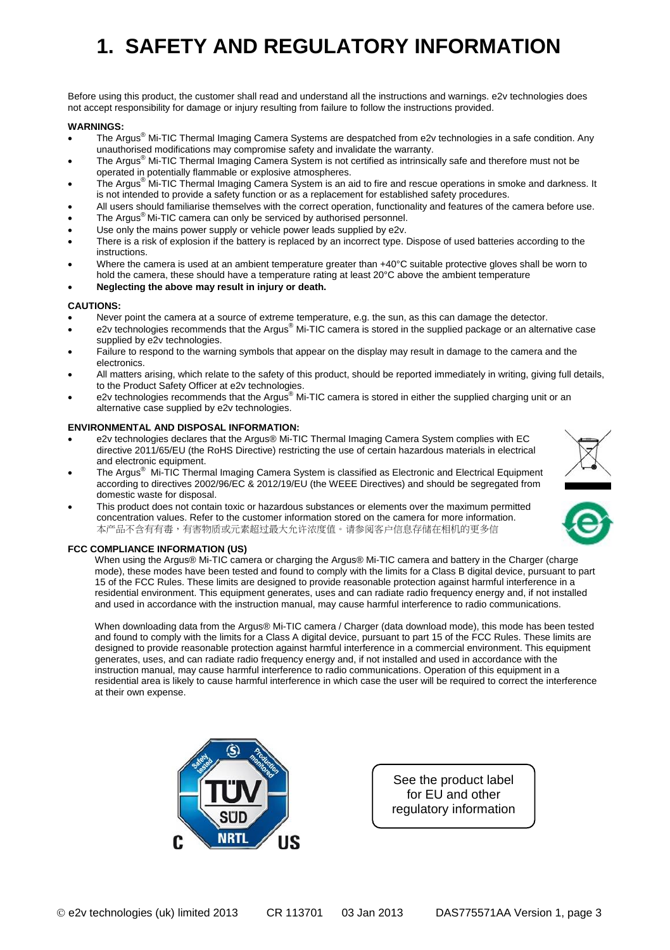# <span id="page-2-0"></span>**1. SAFETY AND REGULATORY INFORMATION**

Before using this product, the customer shall read and understand all the instructions and warnings. e2v technologies does not accept responsibility for damage or injury resulting from failure to follow the instructions provided.

#### **WARNINGS:**

- The Argus® Mi-TIC Thermal Imaging Camera Systems are despatched from e2v technologies in a safe condition. Any unauthorised modifications may compromise safety and invalidate the warranty.
- The Argus® Mi-TIC Thermal Imaging Camera System is not certified as intrinsically safe and therefore must not be
- operated in potentially flammable or explosive atmospheres. The Argus® Mi-TIC Thermal Imaging Camera System is an aid to fire and rescue operations in smoke and darkness. It is not intended to provide a safety function or as a replacement for established safety procedures.
- All users should familiarise themselves with the correct operation, functionality and features of the camera before use.
- The Argus<sup>®</sup> Mi-TIC camera can only be serviced by authorised personnel.
- Use only the mains power supply or vehicle power leads supplied by e2v.
- There is a risk of explosion if the battery is replaced by an incorrect type. Dispose of used batteries according to the instructions.
- Where the camera is used at an ambient temperature greater than +40°C suitable protective gloves shall be worn to hold the camera, these should have a temperature rating at least 20°C above the ambient temperature
- **Neglecting the above may result in injury or death.**

#### **CAUTIONS:**

- Never point the camera at a source of extreme temperature, e.g. the sun, as this can damage the detector.
- e2v technologies recommends that the Argus® Mi-TIC camera is stored in the supplied package or an alternative case supplied by e2y technologies.
- Failure to respond to the warning symbols that appear on the display may result in damage to the camera and the electronics.
- All matters arising, which relate to the safety of this product, should be reported immediately in writing, giving full details, to the Product Safety Officer at e2v technologies.
- e2v technologies recommends that the Argus® Mi-TIC camera is stored in either the supplied charging unit or an alternative case supplied by e2v technologies.

#### **ENVIRONMENTAL AND DISPOSAL INFORMATION:**

- e2v technologies declares that the Argus® Mi-TIC Thermal Imaging Camera System complies with EC directive 2011/65/EU (the RoHS Directive) restricting the use of certain hazardous materials in electrical and electronic equipment.
- The Argus® Mi-TIC Thermal Imaging Camera System is classified as Electronic and Electrical Equipment according to directives 2002/96/EC & 2012/19/EU (the WEEE Directives) and should be segregated from domestic waste for disposal.
- This product does not contain toxic or hazardous substances or elements over the maximum permitted concentration values. Refer to the customer information stored on the camera for more information. 本产品不含有有毒,有害物质或元素超过最大允许浓度值。请参阅客户信息存储在相机的更多信

#### **FCC COMPLIANCE INFORMATION (US)**

When using the Argus® Mi-TIC camera or charging the Argus® Mi-TIC camera and battery in the Charger (charge mode), these modes have been tested and found to comply with the limits for a Class B digital device, pursuant to part 15 of the FCC Rules. These limits are designed to provide reasonable protection against harmful interference in a residential environment. This equipment generates, uses and can radiate radio frequency energy and, if not installed and used in accordance with the instruction manual, may cause harmful interference to radio communications.

When downloading data from the Argus® Mi-TIC camera / Charger (data download mode), this mode has been tested and found to comply with the limits for a Class A digital device, pursuant to part 15 of the FCC Rules. These limits are designed to provide reasonable protection against harmful interference in a commercial environment. This equipment generates, uses, and can radiate radio frequency energy and, if not installed and used in accordance with the instruction manual, may cause harmful interference to radio communications. Operation of this equipment in a residential area is likely to cause harmful interference in which case the user will be required to correct the interference at their own expense.



See the product label for EU and other regulatory information





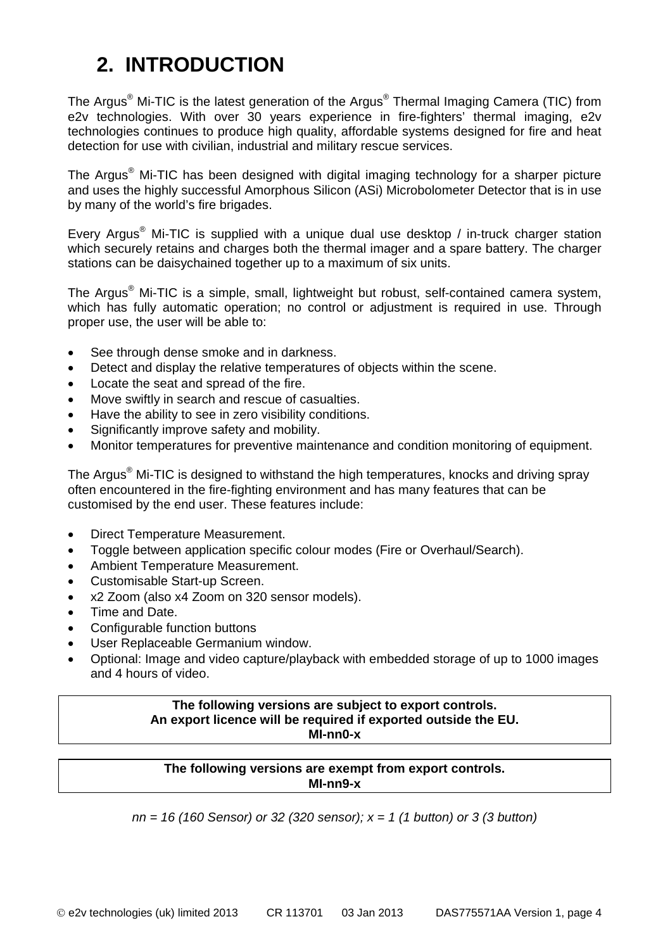## <span id="page-3-0"></span>**2. INTRODUCTION**

The Argus® Mi-TIC is the latest generation of the Argus® Thermal Imaging Camera (TIC) from e2v technologies. With over 30 years experience in fire-fighters' thermal imaging, e2v technologies continues to produce high quality, affordable systems designed for fire and heat detection for use with civilian, industrial and military rescue services.

The Argus<sup>®</sup> Mi-TIC has been designed with digital imaging technology for a sharper picture and uses the highly successful Amorphous Silicon (ASi) Microbolometer Detector that is in use by many of the world's fire brigades.

Every Argus® Mi-TIC is supplied with a unique dual use desktop / in-truck charger station which securely retains and charges both the thermal imager and a spare battery. The charger stations can be daisychained together up to a maximum of six units.

The Argus® Mi-TIC is a simple, small, lightweight but robust, self-contained camera system, which has fully automatic operation; no control or adjustment is required in use. Through proper use, the user will be able to:

- See through dense smoke and in darkness.
- Detect and display the relative temperatures of objects within the scene.
- Locate the seat and spread of the fire.
- Move swiftly in search and rescue of casualties.
- Have the ability to see in zero visibility conditions.
- Significantly improve safety and mobility.
- Monitor temperatures for preventive maintenance and condition monitoring of equipment.

The Argus® Mi-TIC is designed to withstand the high temperatures, knocks and driving spray often encountered in the fire-fighting environment and has many features that can be customised by the end user. These features include:

- Direct Temperature Measurement.
- Toggle between application specific colour modes (Fire or Overhaul/Search).
- Ambient Temperature Measurement.
- Customisable Start-up Screen.
- x2 Zoom (also x4 Zoom on 320 sensor models).
- Time and Date.
- Configurable function buttons
- User Replaceable Germanium window.
- Optional: Image and video capture/playback with embedded storage of up to 1000 images and 4 hours of video.

#### **The following versions are subject to export controls. An export licence will be required if exported outside the EU. MI-nn0-x**

#### **The following versions are exempt from export controls. MI-nn9-x**

*nn = 16 (160 Sensor) or 32 (320 sensor); x = 1 (1 button) or 3 (3 button)*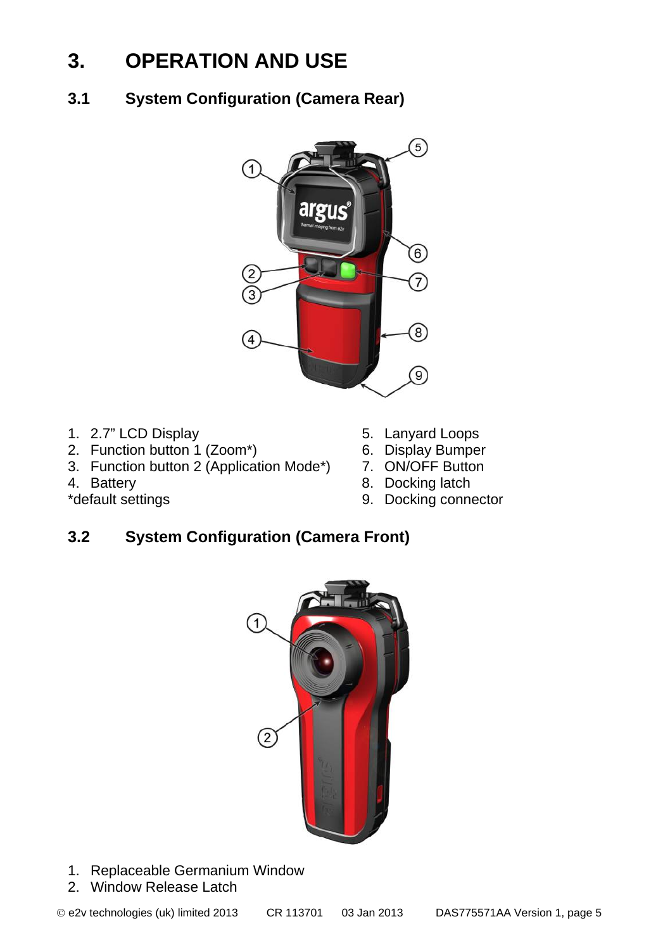## <span id="page-4-0"></span>**3. OPERATION AND USE**

<span id="page-4-1"></span>**3.1 System Configuration (Camera Rear)**



- 
- 1. 2.7" LCD Display 5. Lanyard Loops<br>
2. Function button 1 (Zoom\*) 6. Display Bumper
- 2. Function button 1 (Zoom\*) 6. Display Bumper<br>3. Function button 2 (Application Mode\*) 7. ON/OFF Button 3. Function button 2 (Application Mode\*)<br>4. Battery
- 
- 
- 
- 
- 
- 4. Battery 8. Docking latch<br>
\*default settings 8. Docking connected by 8. Docking connected by 9. Docking connected by 9. Docking connected by 9. Docking connected by 9. Docking connected by 9. Docking connected by 9. Dock
	- 9. Docking connector

## <span id="page-4-2"></span>**3.2 System Configuration (Camera Front)**



- 1. Replaceable Germanium Window
- 2. Window Release Latch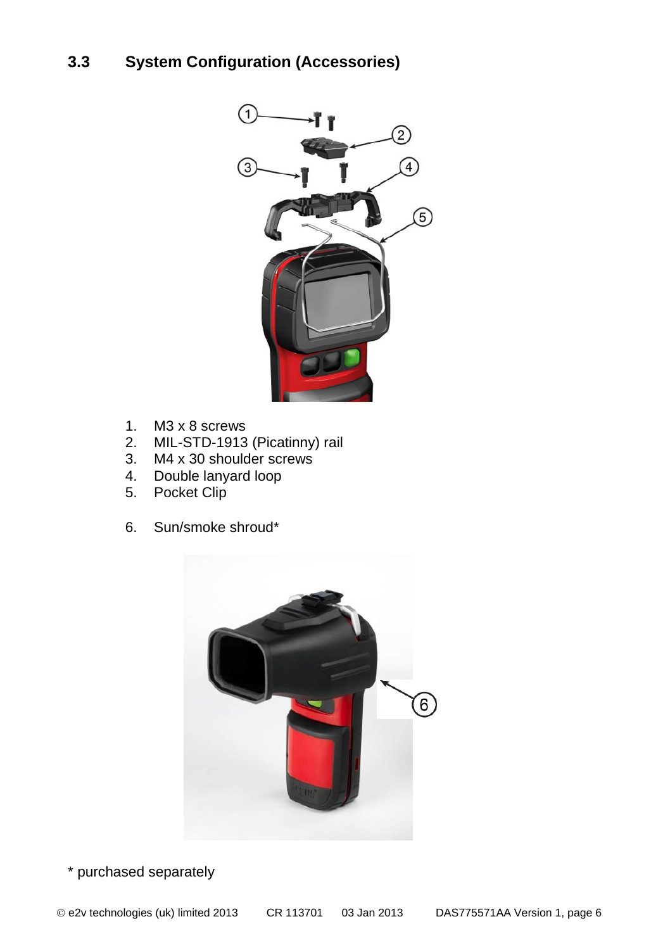## <span id="page-5-0"></span>**3.3 System Configuration (Accessories)**



- 1. M3 x 8 screws
- 2. MIL-STD-1913 (Picatinny) rail
- 3. M4 x 30 shoulder screws
- 4. Double lanyard loop
- 5. Pocket Clip
- 6. Sun/smoke shroud\*



\* purchased separately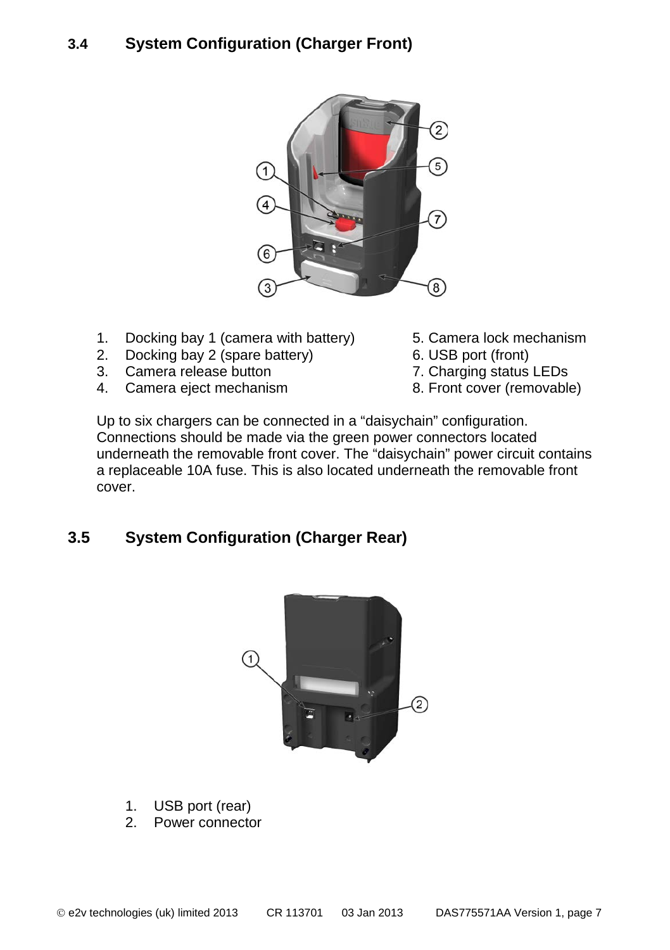## <span id="page-6-0"></span>**3.4 System Configuration (Charger Front)**



- 1. Docking bay 1 (camera with battery) 5. Camera lock mechanism<br>2. Docking bay 2 (spare battery) 6. USB port (front)
- 2. Docking bay 2 (spare battery)  $\overline{3}$ . Camera release button
- 
- 4. Camera eject mechanism
- 
- 
- 
- 7. Charging status LEDs<br>8. Front cover (removable)

Up to six chargers can be connected in a "daisychain" configuration. Connections should be made via the green power connectors located underneath the removable front cover. The "daisychain" power circuit contains a replaceable 10A fuse. This is also located underneath the removable front cover.

## <span id="page-6-1"></span>**3.5 System Configuration (Charger Rear)**



- 1. USB port (rear)
- 2. Power connector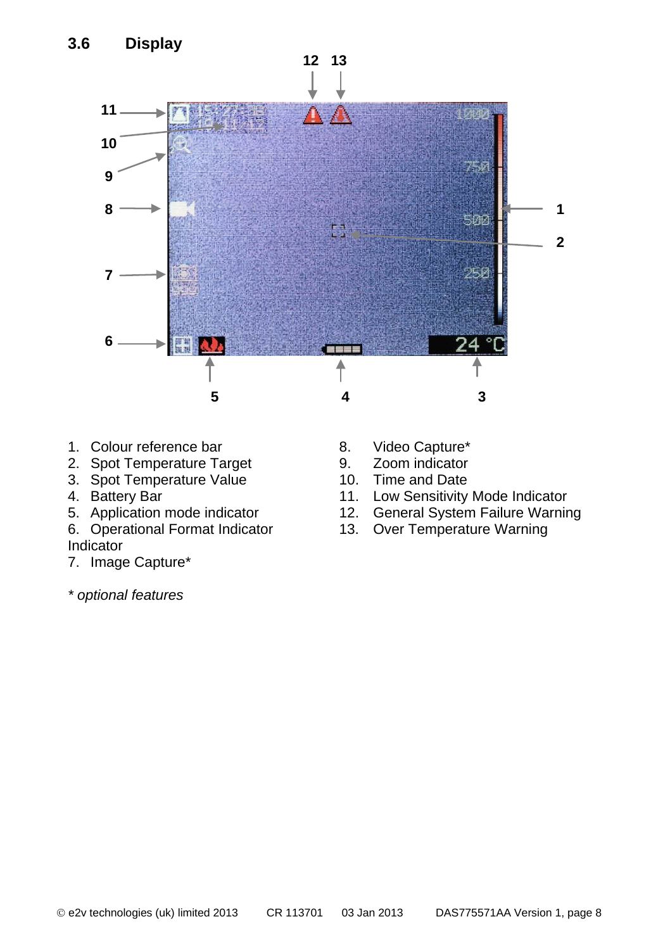<span id="page-7-0"></span>

- 1. Colour reference bar 8. Video Capture\*<br>2. Spot Temperature Target 9. Zoom indicator
- 2. Spot Temperature Target 9. Zoom indicator<br>3. Spot Temperature Value 10. Time and Date
- 3. Spot Temperature Value<br>4. Battery Bar
- 
- 
- 

## Indicator

7. Image Capture\*

*\* optional features*

- 
- 
- 
- 4. Battery Bar 11. Low Sensitivity Mode Indicator<br>5. Application mode indicator 12. General System Failure Warnir
- 5. Application mode indicator 12. General System Failure Warning<br>6. Operational Format Indicator 13. Over Temperature Warning
	- 13. Over Temperature Warning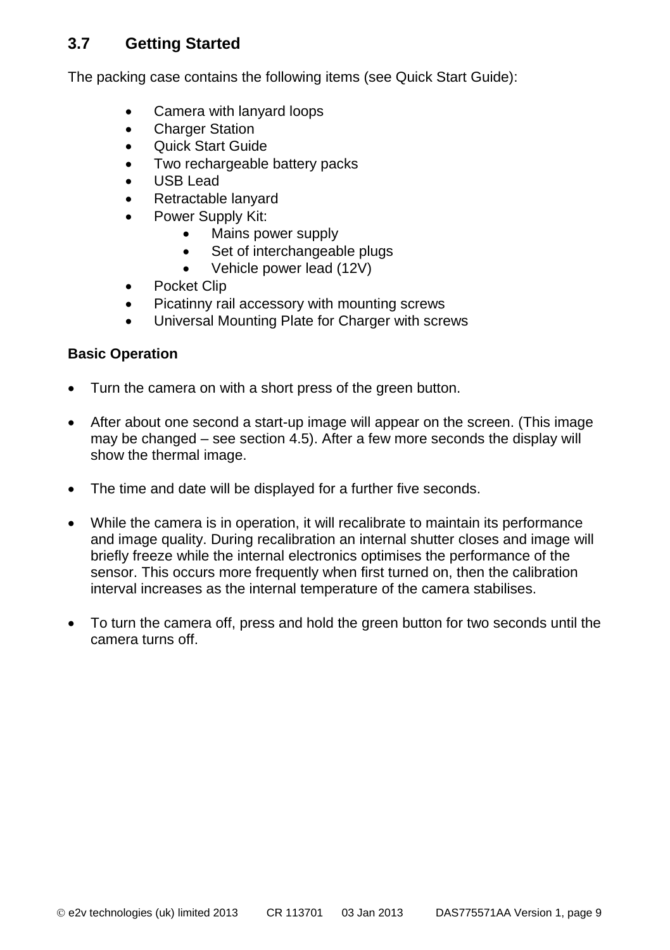## <span id="page-8-0"></span>**3.7 Getting Started**

The packing case contains the following items (see Quick Start Guide):

- Camera with lanyard loops
- **Charger Station**
- Quick Start Guide
- Two rechargeable battery packs
- USB Lead
- Retractable lanyard
- Power Supply Kit:
	- Mains power supply
	- Set of interchangeable plugs
	- Vehicle power lead (12V)
- Pocket Clip
- Picatinny rail accessory with mounting screws
- Universal Mounting Plate for Charger with screws

#### **Basic Operation**

- Turn the camera on with a short press of the green button.
- After about one second a start-up image will appear on the screen. (This image may be changed – see section 4.5). After a few more seconds the display will show the thermal image.
- The time and date will be displayed for a further five seconds.
- While the camera is in operation, it will recalibrate to maintain its performance and image quality. During recalibration an internal shutter closes and image will briefly freeze while the internal electronics optimises the performance of the sensor. This occurs more frequently when first turned on, then the calibration interval increases as the internal temperature of the camera stabilises.
- To turn the camera off, press and hold the green button for two seconds until the camera turns off.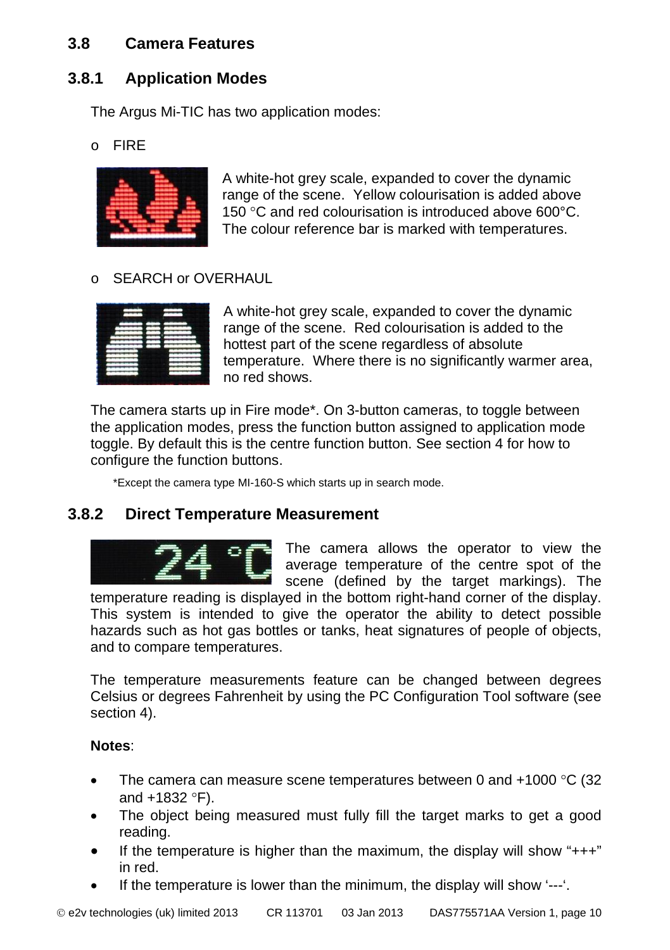## <span id="page-9-0"></span>**3.8 Camera Features**

## <span id="page-9-1"></span>**3.8.1 Application Modes**

The Argus Mi-TIC has two application modes:

o FIRE



A white-hot grey scale, expanded to cover the dynamic range of the scene. Yellow colourisation is added above 150 °C and red colourisation is introduced above 600°C. The colour reference bar is marked with temperatures.

#### o SEARCH or OVERHAUL

A white-hot grey scale, expanded to cover the dynamic range of the scene. Red colourisation is added to the hottest part of the scene regardless of absolute temperature. Where there is no significantly warmer area, no red shows.

The camera starts up in Fire mode\*. On 3-button cameras, to toggle between the application modes, press the function button assigned to application mode toggle. By default this is the centre function button. See section 4 for how to configure the function buttons.

\*Except the camera type MI-160-S which starts up in search mode.

## <span id="page-9-2"></span>**3.8.2 Direct Temperature Measurement**



The camera allows the operator to view the average temperature of the centre spot of the scene (defined by the target markings). The

temperature reading is displayed in the bottom right-hand corner of the display. This system is intended to give the operator the ability to detect possible hazards such as hot gas bottles or tanks, heat signatures of people of objects, and to compare temperatures.

The temperature measurements feature can be changed between degrees Celsius or degrees Fahrenheit by using the PC Configuration Tool software (see section 4).

#### **Notes**:

- The camera can measure scene temperatures between 0 and  $+1000$  °C (32) and +1832 °F).
- The object being measured must fully fill the target marks to get a good reading.
- If the temperature is higher than the maximum, the display will show " $++$ " in red.
- If the temperature is lower than the minimum, the display will show '---'.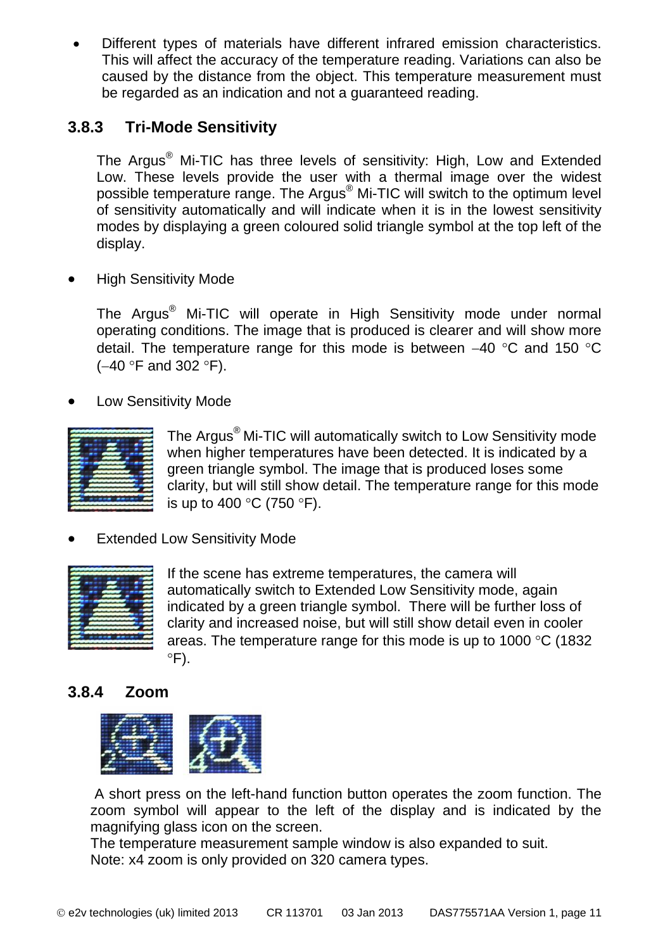• Different types of materials have different infrared emission characteristics. This will affect the accuracy of the temperature reading. Variations can also be caused by the distance from the object. This temperature measurement must be regarded as an indication and not a guaranteed reading.

## <span id="page-10-0"></span>**3.8.3 Tri-Mode Sensitivity**

The Argus® Mi-TIC has three levels of sensitivity: High, Low and Extended Low. These levels provide the user with a thermal image over the widest possible temperature range. The Argus® Mi-TIC will switch to the optimum level of sensitivity automatically and will indicate when it is in the lowest sensitivity modes by displaying a green coloured solid triangle symbol at the top left of the display.

**High Sensitivity Mode** 

The Argus® Mi-TIC will operate in High Sensitivity mode under normal operating conditions. The image that is produced is clearer and will show more detail. The temperature range for this mode is between −40 °C and 150 °C (−40 °F and 302 °F).

• Low Sensitivity Mode



The Argus® Mi-TIC will automatically switch to Low Sensitivity mode when higher temperatures have been detected. It is indicated by a green triangle symbol. The image that is produced loses some clarity, but will still show detail. The temperature range for this mode is up to 400 °C (750 °F).

**Extended Low Sensitivity Mode** 



If the scene has extreme temperatures, the camera will automatically switch to Extended Low Sensitivity mode, again indicated by a green triangle symbol. There will be further loss of clarity and increased noise, but will still show detail even in cooler areas. The temperature range for this mode is up to 1000 °C (1832  $\degree$ F).

## <span id="page-10-1"></span>**3.8.4 Zoom**



A short press on the left-hand function button operates the zoom function. The zoom symbol will appear to the left of the display and is indicated by the magnifying glass icon on the screen.

The temperature measurement sample window is also expanded to suit. Note: x4 zoom is only provided on 320 camera types.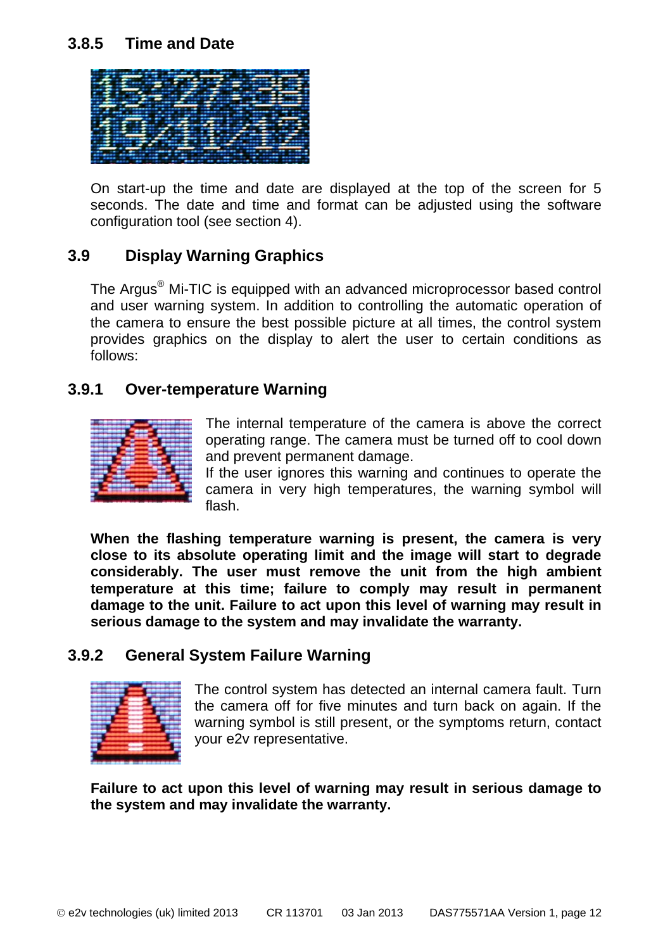### <span id="page-11-0"></span>**3.8.5 Time and Date**



On start-up the time and date are displayed at the top of the screen for 5 seconds. The date and time and format can be adjusted using the software configuration tool (see section 4).

### <span id="page-11-1"></span>**3.9 Display Warning Graphics**

The Argus® Mi-TIC is equipped with an advanced microprocessor based control and user warning system. In addition to controlling the automatic operation of the camera to ensure the best possible picture at all times, the control system provides graphics on the display to alert the user to certain conditions as follows:

#### <span id="page-11-2"></span>**3.9.1 Over-temperature Warning**



The internal temperature of the camera is above the correct operating range. The camera must be turned off to cool down and prevent permanent damage.

If the user ignores this warning and continues to operate the camera in very high temperatures, the warning symbol will flash.

**When the flashing temperature warning is present, the camera is very close to its absolute operating limit and the image will start to degrade considerably. The user must remove the unit from the high ambient temperature at this time; failure to comply may result in permanent damage to the unit. Failure to act upon this level of warning may result in serious damage to the system and may invalidate the warranty.**

#### <span id="page-11-3"></span>**3.9.2 General System Failure Warning**



The control system has detected an internal camera fault. Turn the camera off for five minutes and turn back on again. If the warning symbol is still present, or the symptoms return, contact your e2v representative.

**Failure to act upon this level of warning may result in serious damage to the system and may invalidate the warranty.**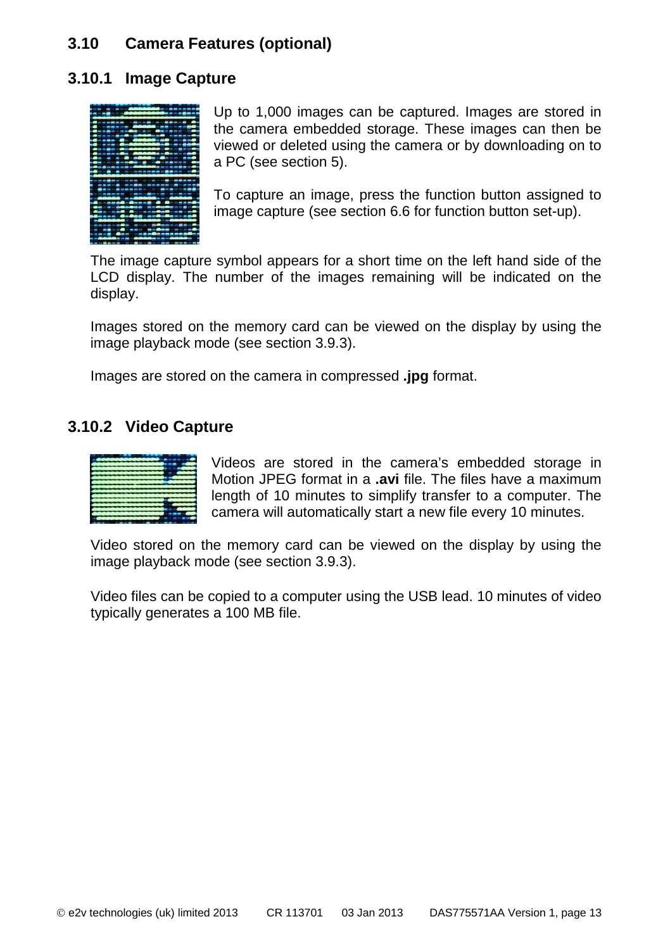## <span id="page-12-0"></span>**3.10 Camera Features (optional)**

#### <span id="page-12-1"></span>**3.10.1 Image Capture**



Up to 1,000 images can be captured. Images are stored in the camera embedded storage. These images can then be viewed or deleted using the camera or by downloading on to a PC (see section 5).

To capture an image, press the function button assigned to image capture (see section 6.6 for function button set-up).

The image capture symbol appears for a short time on the left hand side of the LCD display. The number of the images remaining will be indicated on the display.

Images stored on the memory card can be viewed on the display by using the image playback mode (see section 3.9.3).

Images are stored on the camera in compressed **.jpg** format.

#### <span id="page-12-2"></span>**3.10.2 Video Capture**



Videos are stored in the camera's embedded storage in Motion JPEG format in a **.avi** file. The files have a maximum length of 10 minutes to simplify transfer to a computer. The camera will automatically start a new file every 10 minutes.

Video stored on the memory card can be viewed on the display by using the image playback mode (see section 3.9.3).

Video files can be copied to a computer using the USB lead. 10 minutes of video typically generates a 100 MB file.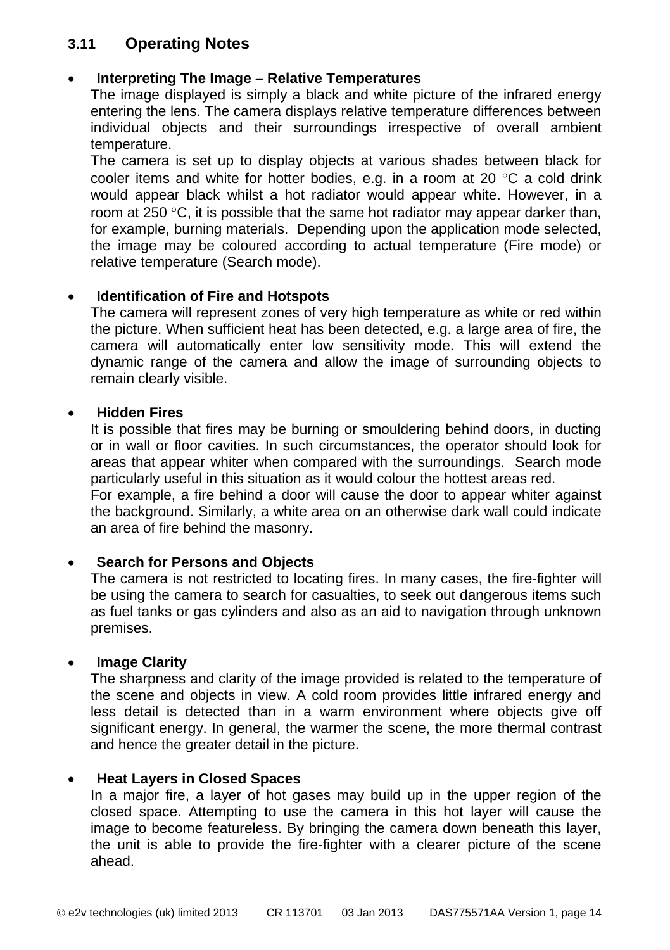## <span id="page-13-0"></span>**3.11 Operating Notes**

#### • **Interpreting The Image – Relative Temperatures**

The image displayed is simply a black and white picture of the infrared energy entering the lens. The camera displays relative temperature differences between individual objects and their surroundings irrespective of overall ambient temperature.

The camera is set up to display objects at various shades between black for cooler items and white for hotter bodies, e.g. in a room at 20 °C a cold drink would appear black whilst a hot radiator would appear white. However, in a room at 250 °C, it is possible that the same hot radiator may appear darker than, for example, burning materials. Depending upon the application mode selected, the image may be coloured according to actual temperature (Fire mode) or relative temperature (Search mode).

#### • **Identification of Fire and Hotspots**

The camera will represent zones of very high temperature as white or red within the picture. When sufficient heat has been detected, e.g. a large area of fire, the camera will automatically enter low sensitivity mode. This will extend the dynamic range of the camera and allow the image of surrounding objects to remain clearly visible.

#### • **Hidden Fires**

It is possible that fires may be burning or smouldering behind doors, in ducting or in wall or floor cavities. In such circumstances, the operator should look for areas that appear whiter when compared with the surroundings. Search mode particularly useful in this situation as it would colour the hottest areas red.

For example, a fire behind a door will cause the door to appear whiter against the background. Similarly, a white area on an otherwise dark wall could indicate an area of fire behind the masonry.

#### • **Search for Persons and Objects**

The camera is not restricted to locating fires. In many cases, the fire-fighter will be using the camera to search for casualties, to seek out dangerous items such as fuel tanks or gas cylinders and also as an aid to navigation through unknown premises.

#### • **Image Clarity**

The sharpness and clarity of the image provided is related to the temperature of the scene and objects in view. A cold room provides little infrared energy and less detail is detected than in a warm environment where objects give off significant energy. In general, the warmer the scene, the more thermal contrast and hence the greater detail in the picture.

#### • **Heat Layers in Closed Spaces**

In a major fire, a layer of hot gases may build up in the upper region of the closed space. Attempting to use the camera in this hot layer will cause the image to become featureless. By bringing the camera down beneath this layer, the unit is able to provide the fire-fighter with a clearer picture of the scene ahead.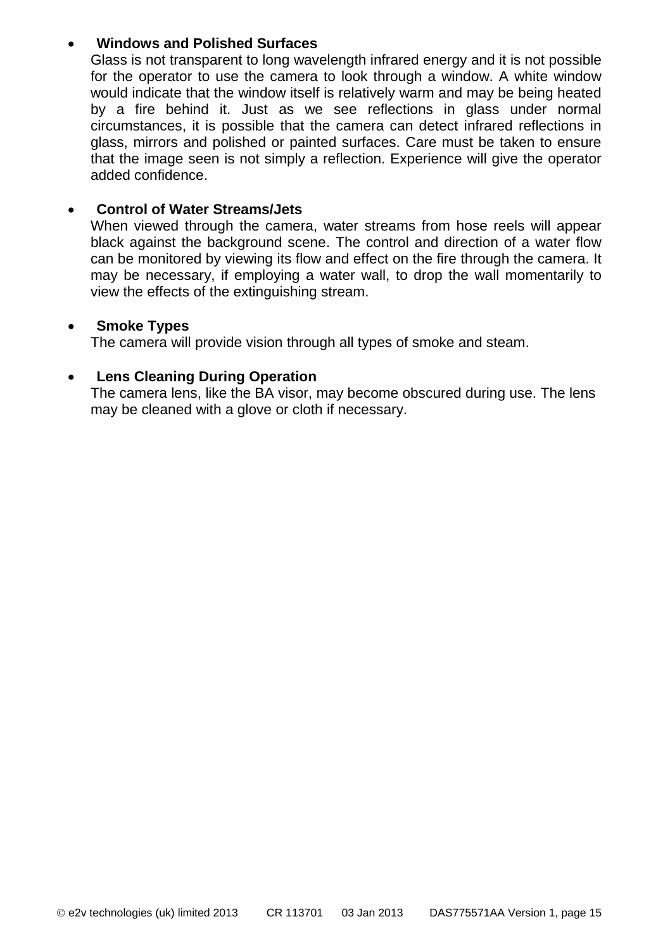#### • **Windows and Polished Surfaces**

Glass is not transparent to long wavelength infrared energy and it is not possible for the operator to use the camera to look through a window. A white window would indicate that the window itself is relatively warm and may be being heated by a fire behind it. Just as we see reflections in glass under normal circumstances, it is possible that the camera can detect infrared reflections in glass, mirrors and polished or painted surfaces. Care must be taken to ensure that the image seen is not simply a reflection. Experience will give the operator added confidence.

#### • **Control of Water Streams/Jets**

When viewed through the camera, water streams from hose reels will appear black against the background scene. The control and direction of a water flow can be monitored by viewing its flow and effect on the fire through the camera. It may be necessary, if employing a water wall, to drop the wall momentarily to view the effects of the extinguishing stream.

#### • **Smoke Types**

The camera will provide vision through all types of smoke and steam.

#### • **Lens Cleaning During Operation**

The camera lens, like the BA visor, may become obscured during use. The lens may be cleaned with a glove or cloth if necessary.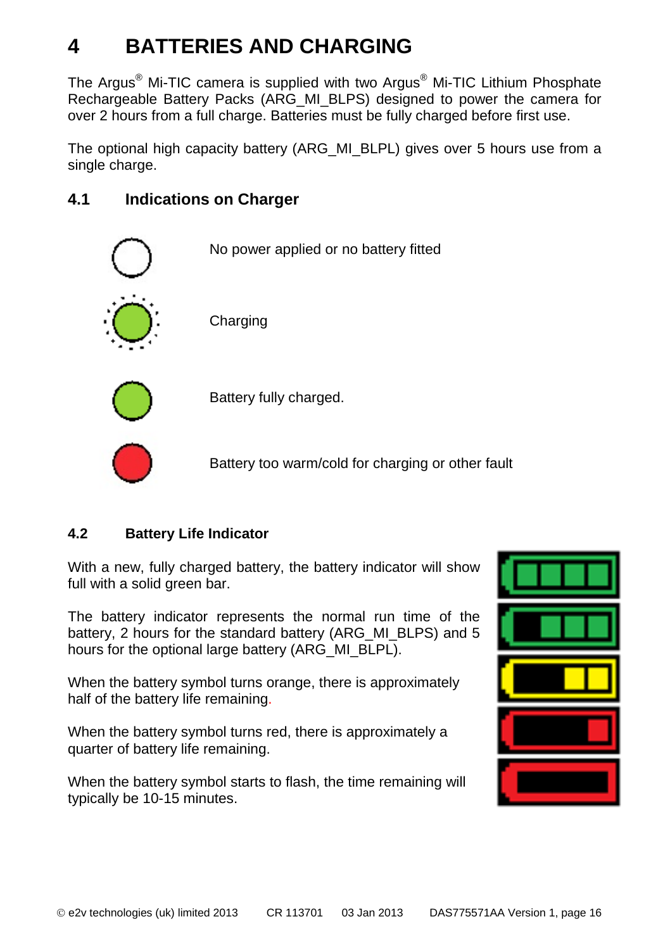# <span id="page-15-0"></span>**4 BATTERIES AND CHARGING**

The Argus® Mi-TIC camera is supplied with two Argus® Mi-TIC Lithium Phosphate Rechargeable Battery Packs (ARG\_MI\_BLPS) designed to power the camera for over 2 hours from a full charge. Batteries must be fully charged before first use.

The optional high capacity battery (ARG\_MI\_BLPL) gives over 5 hours use from a single charge.

## <span id="page-15-1"></span>**4.1 Indications on Charger**



## **4.2 Battery Life Indicator**

With a new, fully charged battery, the battery indicator will show full with a solid green bar.

The battery indicator represents the normal run time of the battery. 2 hours for the standard battery (ARG\_MI\_BLPS) and 5 hours for the optional large battery (ARG\_MI\_BLPL).

When the battery symbol turns orange, there is approximately half of the battery life remaining.

When the battery symbol turns red, there is approximately a quarter of battery life remaining.

When the battery symbol starts to flash, the time remaining will typically be 10-15 minutes.

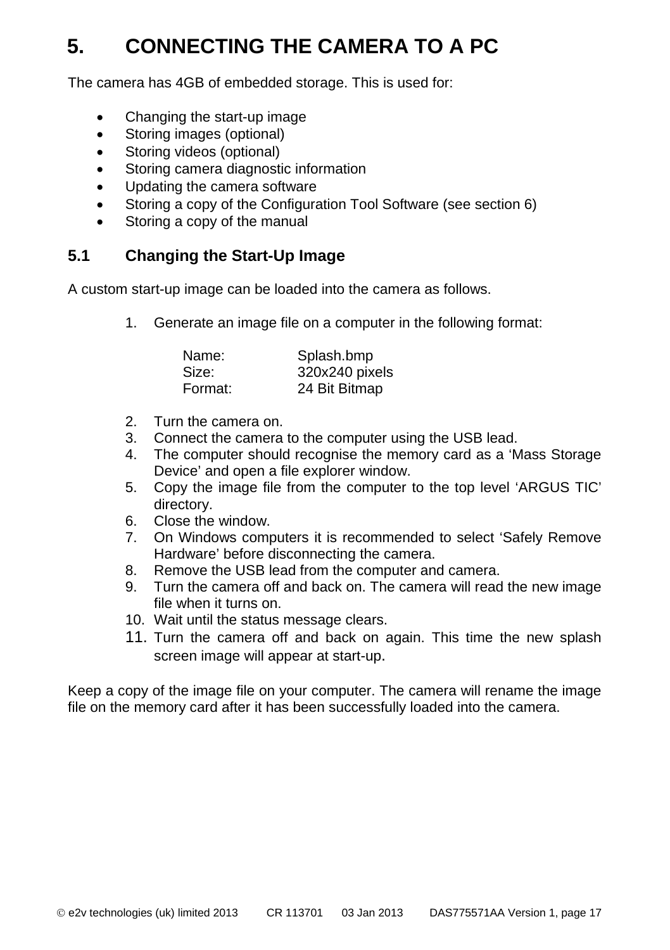# <span id="page-16-0"></span>**5. CONNECTING THE CAMERA TO A PC**

The camera has 4GB of embedded storage. This is used for:

- Changing the start-up image
- Storing images (optional)
- Storing videos (optional)
- Storing camera diagnostic information
- Updating the camera software
- Storing a copy of the Configuration Tool Software (see section 6)
- Storing a copy of the manual

## <span id="page-16-1"></span>**5.1 Changing the Start-Up Image**

A custom start-up image can be loaded into the camera as follows.

1. Generate an image file on a computer in the following format:

| Name:   | Splash.bmp     |
|---------|----------------|
| Size:   | 320x240 pixels |
| Format: | 24 Bit Bitmap  |

- 2. Turn the camera on.
- 3. Connect the camera to the computer using the USB lead.
- 4. The computer should recognise the memory card as a 'Mass Storage Device' and open a file explorer window.
- 5. Copy the image file from the computer to the top level 'ARGUS TIC' directory.
- 6. Close the window.
- 7. On Windows computers it is recommended to select 'Safely Remove Hardware' before disconnecting the camera.
- 8. Remove the USB lead from the computer and camera.
- 9. Turn the camera off and back on. The camera will read the new image file when it turns on.
- 10. Wait until the status message clears.
- 11. Turn the camera off and back on again. This time the new splash screen image will appear at start-up.

Keep a copy of the image file on your computer. The camera will rename the image file on the memory card after it has been successfully loaded into the camera.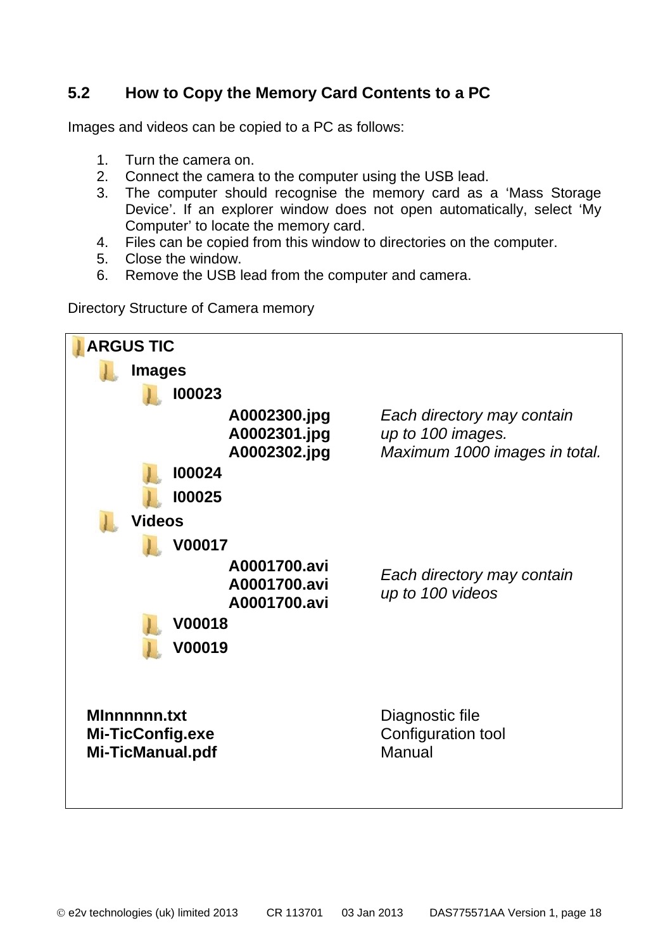## <span id="page-17-0"></span>**5.2 How to Copy the Memory Card Contents to a PC**

Images and videos can be copied to a PC as follows:

- 1. Turn the camera on.<br>2. Connect the camera
- 2. Connect the camera to the computer using the USB lead.<br>3. The computer should recognise the memory card as
- The computer should recognise the memory card as a 'Mass Storage' Device'. If an explorer window does not open automatically, select 'My Computer' to locate the memory card.
- 4. Files can be copied from this window to directories on the computer.
- 5. Close the window.
- 6. Remove the USB lead from the computer and camera.

Directory Structure of Camera memory

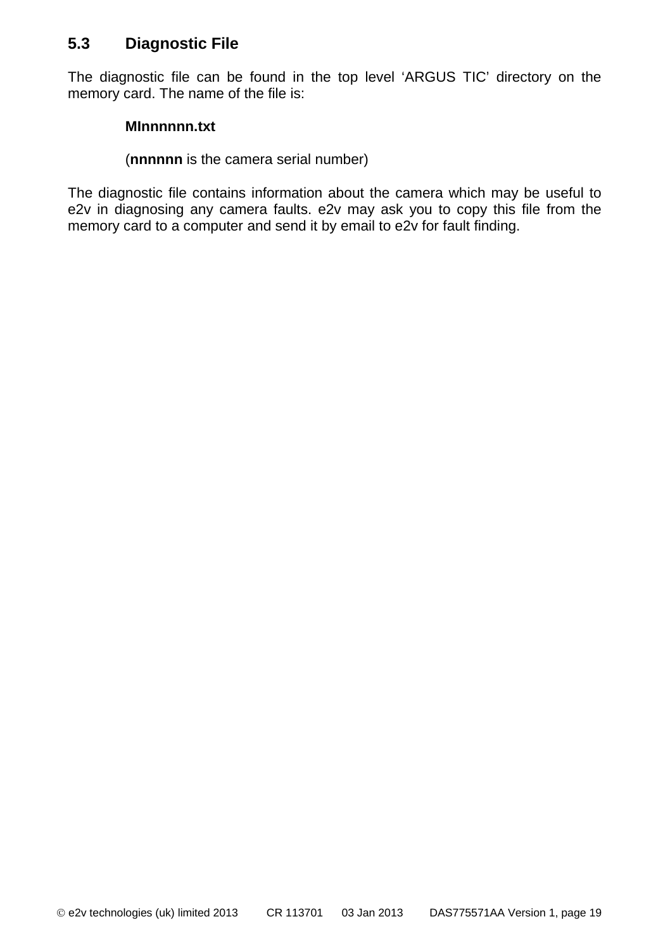### <span id="page-18-0"></span>**5.3 Diagnostic File**

The diagnostic file can be found in the top level 'ARGUS TIC' directory on the memory card. The name of the file is:

#### **MInnnnnn.txt**

#### (**nnnnnn** is the camera serial number)

The diagnostic file contains information about the camera which may be useful to e2v in diagnosing any camera faults. e2v may ask you to copy this file from the memory card to a computer and send it by email to e2v for fault finding.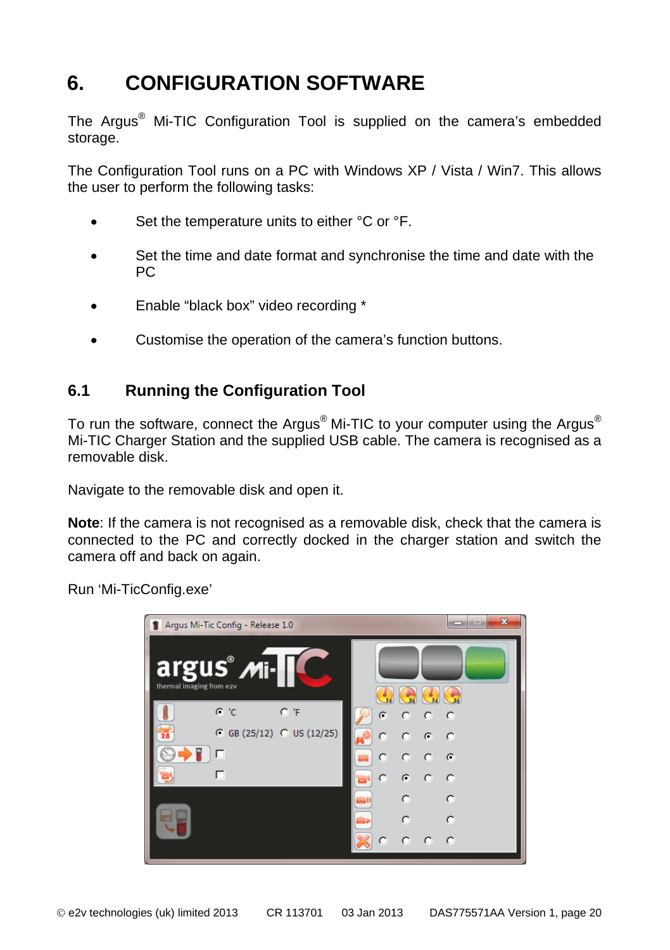# <span id="page-19-0"></span>**6. CONFIGURATION SOFTWARE**

The Argus® Mi-TIC Configuration Tool is supplied on the camera's embedded storage.

The Configuration Tool runs on a PC with Windows XP / Vista / Win7. This allows the user to perform the following tasks:

- Set the temperature units to either °C or °F.
- Set the time and date format and synchronise the time and date with the PC
- Enable "black box" video recording \*
- Customise the operation of the camera's function buttons.

## <span id="page-19-1"></span>**6.1 Running the Configuration Tool**

To run the software, connect the Argus<sup>®</sup> Mi-TIC to your computer using the Argus<sup>®</sup> Mi-TIC Charger Station and the supplied USB cable. The camera is recognised as a removable disk.

Navigate to the removable disk and open it.

**Note**: If the camera is not recognised as a removable disk, check that the camera is connected to the PC and correctly docked in the charger station and switch the camera off and back on again.

Run 'Mi-TicConfig.exe'

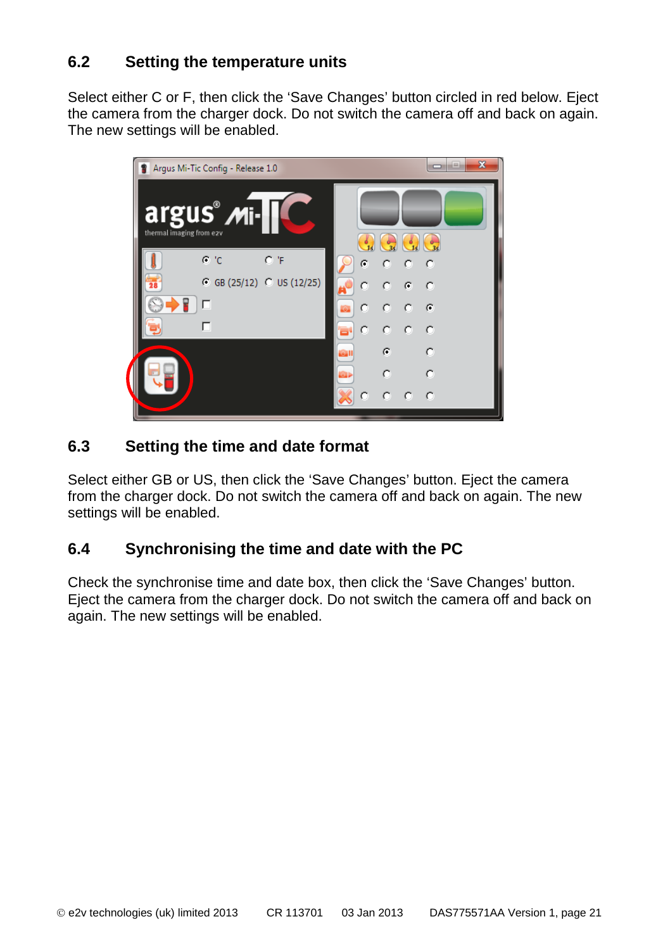## <span id="page-20-0"></span>**6.2 Setting the temperature units**

Select either C or F, then click the 'Save Changes' button circled in red below. Eject the camera from the charger dock. Do not switch the camera off and back on again. The new settings will be enabled.



## <span id="page-20-1"></span>**6.3 Setting the time and date format**

Select either GB or US, then click the 'Save Changes' button. Eject the camera from the charger dock. Do not switch the camera off and back on again. The new settings will be enabled.

## <span id="page-20-2"></span>**6.4 Synchronising the time and date with the PC**

Check the synchronise time and date box, then click the 'Save Changes' button. Eject the camera from the charger dock. Do not switch the camera off and back on again. The new settings will be enabled.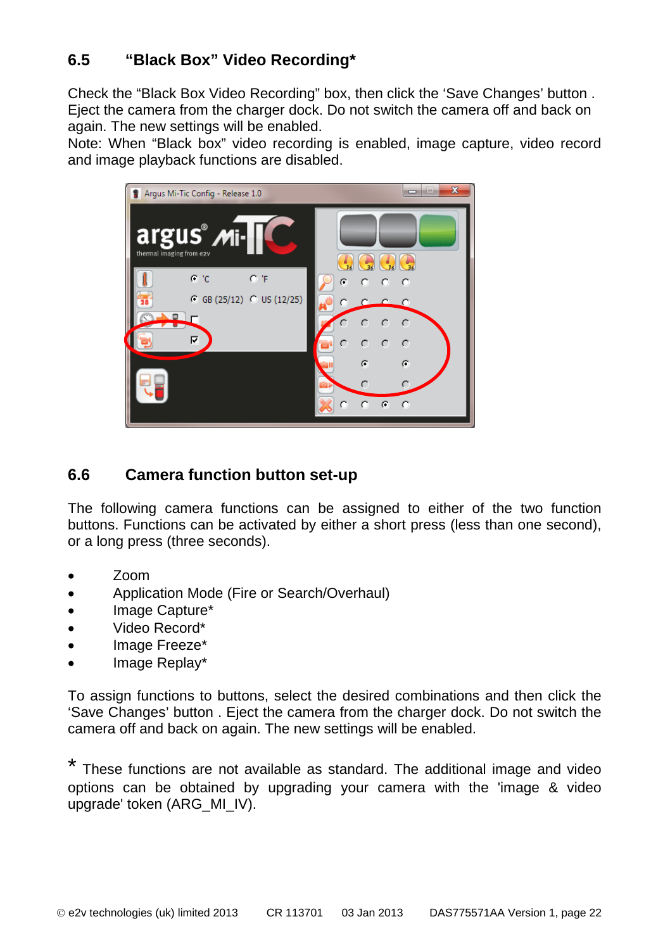## <span id="page-21-0"></span>**6.5 "Black Box" Video Recording\***

Check the "Black Box Video Recording" box, then click the 'Save Changes' button . Eject the camera from the charger dock. Do not switch the camera off and back on again. The new settings will be enabled.

Note: When "Black box" video recording is enabled, image capture, video record and image playback functions are disabled.



## <span id="page-21-1"></span>**6.6 Camera function button set-up**

The following camera functions can be assigned to either of the two function buttons. Functions can be activated by either a short press (less than one second), or a long press (three seconds).

- Zoom
- Application Mode (Fire or Search/Overhaul)
- Image Capture\*
- Video Record\*
- Image Freeze\*
- Image Replay\*

To assign functions to buttons, select the desired combinations and then click the 'Save Changes' button . Eject the camera from the charger dock. Do not switch the camera off and back on again. The new settings will be enabled.

These functions are not available as standard. The additional image and video options can be obtained by upgrading your camera with the 'image & video upgrade' token (ARG\_MI\_IV).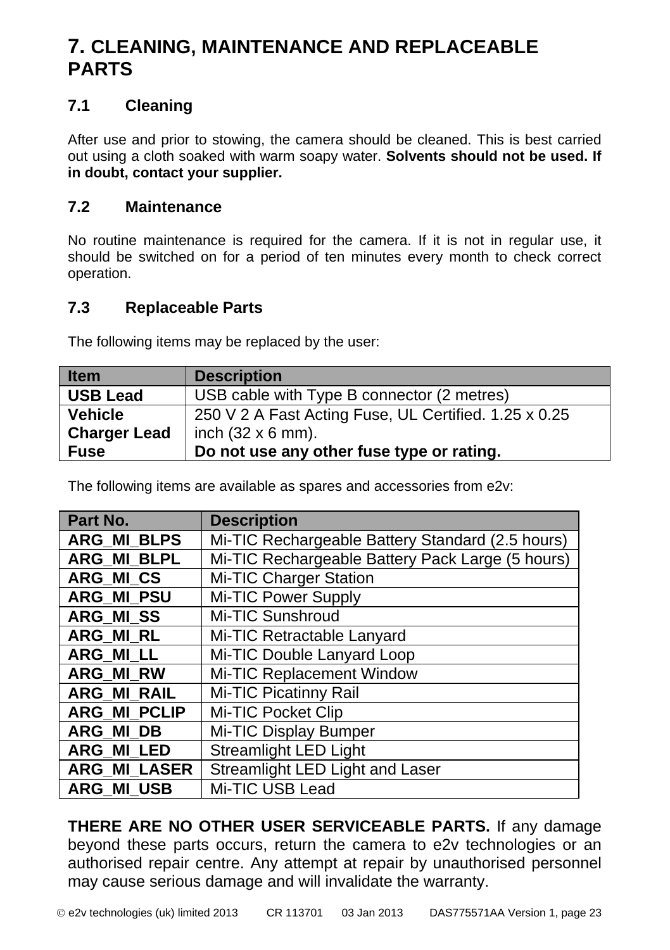## <span id="page-22-0"></span>**7. CLEANING, MAINTENANCE AND REPLACEABLE PARTS**

## <span id="page-22-1"></span>**7.1 Cleaning**

After use and prior to stowing, the camera should be cleaned. This is best carried out using a cloth soaked with warm soapy water. **Solvents should not be used. If in doubt, contact your supplier.**

### <span id="page-22-2"></span>**7.2 Maintenance**

No routine maintenance is required for the camera. If it is not in regular use, it should be switched on for a period of ten minutes every month to check correct operation.

### <span id="page-22-3"></span>**7.3 Replaceable Parts**

The following items may be replaced by the user:

| <b>Item</b>         | <b>Description</b>                                    |
|---------------------|-------------------------------------------------------|
| <b>USB Lead</b>     | USB cable with Type B connector (2 metres)            |
| <b>Vehicle</b>      | 250 V 2 A Fast Acting Fuse, UL Certified. 1.25 x 0.25 |
| <b>Charger Lead</b> | inch $(32 \times 6 \text{ mm})$ .                     |
| <b>Fuse</b>         | Do not use any other fuse type or rating.             |

The following items are available as spares and accessories from e2v:

| Part No.            | <b>Description</b>                               |
|---------------------|--------------------------------------------------|
| <b>ARG MI BLPS</b>  | Mi-TIC Rechargeable Battery Standard (2.5 hours) |
| <b>ARG MI BLPL</b>  | Mi-TIC Rechargeable Battery Pack Large (5 hours) |
| <b>ARG MI CS</b>    | Mi-TIC Charger Station                           |
| <b>ARG MI PSU</b>   | Mi-TIC Power Supply                              |
| <b>ARG MISS</b>     | Mi-TIC Sunshroud                                 |
| <b>ARG MI RL</b>    | Mi-TIC Retractable Lanyard                       |
| <b>ARG MILL</b>     | Mi-TIC Double Lanyard Loop                       |
| <b>ARG MI RW</b>    | Mi-TIC Replacement Window                        |
| <b>ARG MI RAIL</b>  | Mi-TIC Picatinny Rail                            |
| <b>ARG_MI PCLIP</b> | Mi-TIC Pocket Clip                               |
| ARG MI DB           | Mi-TIC Display Bumper                            |
| <b>ARG MI LED</b>   | <b>Streamlight LED Light</b>                     |
| ARG_MI_LASER        | Streamlight LED Light and Laser                  |
| <b>ARG MI USB</b>   | Mi-TIC USB Lead                                  |

**THERE ARE NO OTHER USER SERVICEABLE PARTS.** If any damage beyond these parts occurs, return the camera to e2v technologies or an authorised repair centre. Any attempt at repair by unauthorised personnel may cause serious damage and will invalidate the warranty.